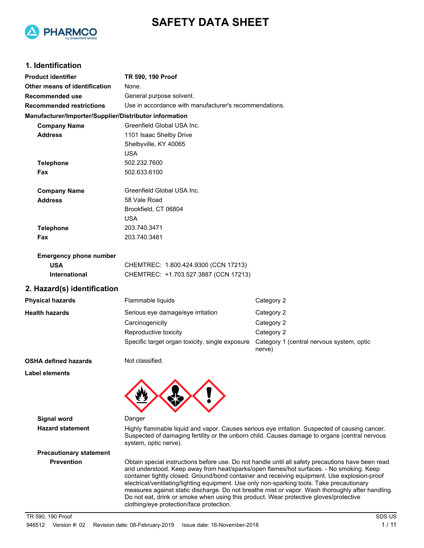



## **1. Identification**

| <b>Product identifier</b>                              | TR 590, 190 Proof                                      |                                                     |  |  |
|--------------------------------------------------------|--------------------------------------------------------|-----------------------------------------------------|--|--|
| Other means of identification                          | None.                                                  |                                                     |  |  |
| Recommended use                                        | General purpose solvent.                               |                                                     |  |  |
| <b>Recommended restrictions</b>                        | Use in accordance with manufacturer's recommendations. |                                                     |  |  |
| Manufacturer/Importer/Supplier/Distributor information |                                                        |                                                     |  |  |
| <b>Company Name</b>                                    | Greenfield Global USA Inc.                             |                                                     |  |  |
| <b>Address</b>                                         | 1101 Isaac Shelby Drive                                |                                                     |  |  |
|                                                        | Shelbyville, KY 40065                                  |                                                     |  |  |
|                                                        | <b>USA</b>                                             |                                                     |  |  |
| <b>Telephone</b>                                       | 502.232.7600                                           |                                                     |  |  |
| Fax                                                    | 502.633.6100                                           |                                                     |  |  |
| <b>Company Name</b>                                    | Greenfield Global USA Inc.                             |                                                     |  |  |
| <b>Address</b>                                         | 58 Vale Road                                           |                                                     |  |  |
|                                                        | Brookfield, CT 06804                                   |                                                     |  |  |
|                                                        | <b>USA</b>                                             |                                                     |  |  |
| <b>Telephone</b>                                       | 203.740.3471                                           |                                                     |  |  |
| Fax                                                    | 203.740.3481                                           |                                                     |  |  |
| <b>Emergency phone number</b>                          |                                                        |                                                     |  |  |
| <b>USA</b>                                             | CHEMTREC: 1.800.424.9300 (CCN 17213)                   |                                                     |  |  |
| <b>International</b>                                   | CHEMTREC: +1.703.527.3887 (CCN 17213)                  |                                                     |  |  |
| 2. Hazard(s) identification                            |                                                        |                                                     |  |  |
| <b>Physical hazards</b>                                | Flammable liquids                                      | Category 2                                          |  |  |
| <b>Health hazards</b>                                  | Serious eye damage/eye irritation                      | Category 2                                          |  |  |
|                                                        | Carcinogenicity                                        | Category 2                                          |  |  |
|                                                        | Reproductive toxicity                                  | Category 2                                          |  |  |
|                                                        | Specific target organ toxicity, single exposure        | Category 1 (central nervous system, optic<br>nerve) |  |  |

#### **OSHA defined hazards** Not classified.

**Label elements**

**Signal word** Danger

**Hazard statement** Highly flammable liquid and vapor. Causes serious eye irritation. Suspected of causing cancer. Suspected of damaging fertility or the unborn child. Causes damage to organs (central nervous system, optic nerve).

**Precautionary statement**

**Prevention** Obtain special instructions before use. Do not handle until all safety precautions have been read and understood. Keep away from heat/sparks/open flames/hot surfaces. - No smoking. Keep container tightly closed. Ground/bond container and receiving equipment. Use explosion-proof electrical/ventilating/lighting equipment. Use only non-sparking tools. Take precautionary measures against static discharge. Do not breathe mist or vapor. Wash thoroughly after handling. Do not eat, drink or smoke when using this product. Wear protective gloves/protective clothing/eye protection/face protection.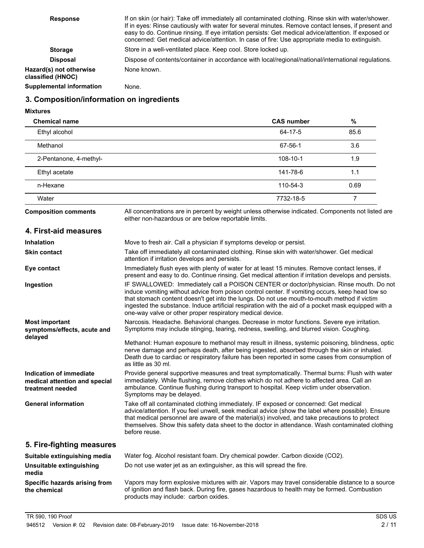| <b>Response</b>                              | If on skin (or hair): Take off immediately all contaminated clothing. Rinse skin with water/shower.<br>If in eyes: Rinse cautiously with water for several minutes. Remove contact lenses, if present and<br>easy to do. Continue rinsing. If eye irritation persists: Get medical advice/attention. If exposed or<br>concerned: Get medical advice/attention. In case of fire: Use appropriate media to extinguish. |
|----------------------------------------------|----------------------------------------------------------------------------------------------------------------------------------------------------------------------------------------------------------------------------------------------------------------------------------------------------------------------------------------------------------------------------------------------------------------------|
| <b>Storage</b>                               | Store in a well-ventilated place. Keep cool. Store locked up.                                                                                                                                                                                                                                                                                                                                                        |
| <b>Disposal</b>                              | Dispose of contents/container in accordance with local/regional/national/international regulations.                                                                                                                                                                                                                                                                                                                  |
| Hazard(s) not otherwise<br>classified (HNOC) | None known.                                                                                                                                                                                                                                                                                                                                                                                                          |
| <b>Supplemental information</b>              | None.                                                                                                                                                                                                                                                                                                                                                                                                                |

## **3. Composition/information on ingredients**

**Mixtures**

**the chemical**

| <b>Chemical name</b>                                                         |                                                                                                                                                                                                                                                                                                                                                                                                                                                               | <b>CAS number</b> | $\%$           |
|------------------------------------------------------------------------------|---------------------------------------------------------------------------------------------------------------------------------------------------------------------------------------------------------------------------------------------------------------------------------------------------------------------------------------------------------------------------------------------------------------------------------------------------------------|-------------------|----------------|
| Ethyl alcohol                                                                |                                                                                                                                                                                                                                                                                                                                                                                                                                                               | 64-17-5           | 85.6           |
| Methanol                                                                     |                                                                                                                                                                                                                                                                                                                                                                                                                                                               | 67-56-1           | 3.6            |
| 2-Pentanone, 4-methyl-                                                       |                                                                                                                                                                                                                                                                                                                                                                                                                                                               | 108-10-1          | 1.9            |
| Ethyl acetate                                                                |                                                                                                                                                                                                                                                                                                                                                                                                                                                               | 141-78-6          | 1.1            |
| n-Hexane                                                                     |                                                                                                                                                                                                                                                                                                                                                                                                                                                               | 110-54-3          | 0.69           |
| Water                                                                        |                                                                                                                                                                                                                                                                                                                                                                                                                                                               | 7732-18-5         | $\overline{7}$ |
| <b>Composition comments</b>                                                  | All concentrations are in percent by weight unless otherwise indicated. Components not listed are<br>either non-hazardous or are below reportable limits.                                                                                                                                                                                                                                                                                                     |                   |                |
| 4. First-aid measures                                                        |                                                                                                                                                                                                                                                                                                                                                                                                                                                               |                   |                |
| <b>Inhalation</b>                                                            | Move to fresh air. Call a physician if symptoms develop or persist.                                                                                                                                                                                                                                                                                                                                                                                           |                   |                |
| <b>Skin contact</b>                                                          | Take off immediately all contaminated clothing. Rinse skin with water/shower. Get medical<br>attention if irritation develops and persists.                                                                                                                                                                                                                                                                                                                   |                   |                |
| Eye contact                                                                  | Immediately flush eyes with plenty of water for at least 15 minutes. Remove contact lenses, if<br>present and easy to do. Continue rinsing. Get medical attention if irritation develops and persists.                                                                                                                                                                                                                                                        |                   |                |
| Ingestion                                                                    | IF SWALLOWED: Immediately call a POISON CENTER or doctor/physician. Rinse mouth. Do not<br>induce vomiting without advice from poison control center. If vomiting occurs, keep head low so<br>that stomach content doesn't get into the lungs. Do not use mouth-to-mouth method if victim<br>ingested the substance. Induce artificial respiration with the aid of a pocket mask equipped with a<br>one-way valve or other proper respiratory medical device. |                   |                |
| <b>Most important</b><br>symptoms/effects, acute and                         | Narcosis. Headache. Behavioral changes. Decrease in motor functions. Severe eye irritation.<br>Symptoms may include stinging, tearing, redness, swelling, and blurred vision. Coughing.                                                                                                                                                                                                                                                                       |                   |                |
| delayed                                                                      | Methanol: Human exposure to methanol may result in illness, systemic poisoning, blindness, optic<br>nerve damage and perhaps death, after being ingested, absorbed through the skin or inhaled.<br>Death due to cardiac or respiratory failure has been reported in some cases from consumption of<br>as little as 30 ml.                                                                                                                                     |                   |                |
| Indication of immediate<br>medical attention and special<br>treatment needed | Provide general supportive measures and treat symptomatically. Thermal burns: Flush with water<br>immediately. While flushing, remove clothes which do not adhere to affected area. Call an<br>ambulance. Continue flushing during transport to hospital. Keep victim under observation.<br>Symptoms may be delayed.                                                                                                                                          |                   |                |
| <b>General information</b>                                                   | Take off all contaminated clothing immediately. IF exposed or concerned: Get medical<br>advice/attention. If you feel unwell, seek medical advice (show the label where possible). Ensure<br>that medical personnel are aware of the material(s) involved, and take precautions to protect<br>themselves. Show this safety data sheet to the doctor in attendance. Wash contaminated clothing<br>before reuse.                                                |                   |                |
| 5. Fire-fighting measures                                                    |                                                                                                                                                                                                                                                                                                                                                                                                                                                               |                   |                |
| Suitable extinguishing media                                                 | Water fog. Alcohol resistant foam. Dry chemical powder. Carbon dioxide (CO2).                                                                                                                                                                                                                                                                                                                                                                                 |                   |                |
| Unsuitable extinguishing<br>media                                            | Do not use water jet as an extinguisher, as this will spread the fire.                                                                                                                                                                                                                                                                                                                                                                                        |                   |                |

Vapors may form explosive mixtures with air. Vapors may travel considerable distance to a source of ignition and flash back. During fire, gases hazardous to health may be formed. Combustion products may include: carbon oxides. **Specific hazards arising from**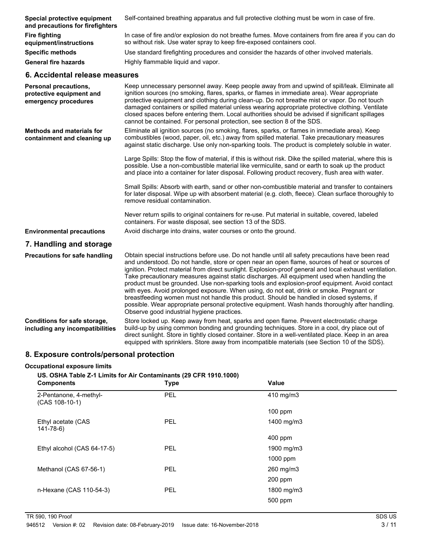| Special protective equipment<br>and precautions for firefighters                 | Self-contained breathing apparatus and full protective clothing must be worn in case of fire.                                                                                                                                                                                                                                                                                                                                                                                                                                                                                                                                                                                                                                                                                                                                                            |
|----------------------------------------------------------------------------------|----------------------------------------------------------------------------------------------------------------------------------------------------------------------------------------------------------------------------------------------------------------------------------------------------------------------------------------------------------------------------------------------------------------------------------------------------------------------------------------------------------------------------------------------------------------------------------------------------------------------------------------------------------------------------------------------------------------------------------------------------------------------------------------------------------------------------------------------------------|
| <b>Fire fighting</b><br>equipment/instructions                                   | In case of fire and/or explosion do not breathe fumes. Move containers from fire area if you can do<br>so without risk. Use water spray to keep fire-exposed containers cool.                                                                                                                                                                                                                                                                                                                                                                                                                                                                                                                                                                                                                                                                            |
| <b>Specific methods</b>                                                          | Use standard firefighting procedures and consider the hazards of other involved materials.                                                                                                                                                                                                                                                                                                                                                                                                                                                                                                                                                                                                                                                                                                                                                               |
| <b>General fire hazards</b>                                                      | Highly flammable liquid and vapor.                                                                                                                                                                                                                                                                                                                                                                                                                                                                                                                                                                                                                                                                                                                                                                                                                       |
| 6. Accidental release measures                                                   |                                                                                                                                                                                                                                                                                                                                                                                                                                                                                                                                                                                                                                                                                                                                                                                                                                                          |
| <b>Personal precautions,</b><br>protective equipment and<br>emergency procedures | Keep unnecessary personnel away. Keep people away from and upwind of spill/leak. Eliminate all<br>ignition sources (no smoking, flares, sparks, or flames in immediate area). Wear appropriate<br>protective equipment and clothing during clean-up. Do not breathe mist or vapor. Do not touch<br>damaged containers or spilled material unless wearing appropriate protective clothing. Ventilate<br>closed spaces before entering them. Local authorities should be advised if significant spillages<br>cannot be contained. For personal protection, see section 8 of the SDS.                                                                                                                                                                                                                                                                       |
| <b>Methods and materials for</b><br>containment and cleaning up                  | Eliminate all ignition sources (no smoking, flares, sparks, or flames in immediate area). Keep<br>combustibles (wood, paper, oil, etc.) away from spilled material. Take precautionary measures<br>against static discharge. Use only non-sparking tools. The product is completely soluble in water.                                                                                                                                                                                                                                                                                                                                                                                                                                                                                                                                                    |
|                                                                                  | Large Spills: Stop the flow of material, if this is without risk. Dike the spilled material, where this is<br>possible. Use a non-combustible material like vermiculite, sand or earth to soak up the product<br>and place into a container for later disposal. Following product recovery, flush area with water.                                                                                                                                                                                                                                                                                                                                                                                                                                                                                                                                       |
|                                                                                  | Small Spills: Absorb with earth, sand or other non-combustible material and transfer to containers<br>for later disposal. Wipe up with absorbent material (e.g. cloth, fleece). Clean surface thoroughly to<br>remove residual contamination.                                                                                                                                                                                                                                                                                                                                                                                                                                                                                                                                                                                                            |
|                                                                                  | Never return spills to original containers for re-use. Put material in suitable, covered, labeled<br>containers. For waste disposal, see section 13 of the SDS.                                                                                                                                                                                                                                                                                                                                                                                                                                                                                                                                                                                                                                                                                          |
| <b>Environmental precautions</b>                                                 | Avoid discharge into drains, water courses or onto the ground.                                                                                                                                                                                                                                                                                                                                                                                                                                                                                                                                                                                                                                                                                                                                                                                           |
| 7. Handling and storage                                                          |                                                                                                                                                                                                                                                                                                                                                                                                                                                                                                                                                                                                                                                                                                                                                                                                                                                          |
| <b>Precautions for safe handling</b>                                             | Obtain special instructions before use. Do not handle until all safety precautions have been read<br>and understood. Do not handle, store or open near an open flame, sources of heat or sources of<br>ignition. Protect material from direct sunlight. Explosion-proof general and local exhaust ventilation.<br>Take precautionary measures against static discharges. All equipment used when handling the<br>product must be grounded. Use non-sparking tools and explosion-proof equipment. Avoid contact<br>with eyes. Avoid prolonged exposure. When using, do not eat, drink or smoke. Pregnant or<br>breastfeeding women must not handle this product. Should be handled in closed systems, if<br>possible. Wear appropriate personal protective equipment. Wash hands thoroughly after handling.<br>Observe good industrial hygiene practices. |
| Conditions for safe storage,<br>including any incompatibilities                  | Store locked up. Keep away from heat, sparks and open flame. Prevent electrostatic charge<br>build-up by using common bonding and grounding techniques. Store in a cool, dry place out of<br>direct sunlight. Store in tightly closed container. Store in a well-ventilated place. Keep in an area<br>equipped with sprinklers. Store away from incompatible materials (see Section 10 of the SDS).                                                                                                                                                                                                                                                                                                                                                                                                                                                      |

#### **8. Exposure controls/personal protection**

#### **Occupational exposure limits**

# **US. OSHA Table Z-1 Limits for Air Contaminants (29 CFR 1910.1000) Components Components Value** 2-Pentanone, 4-methyl- PEL 410 mg/m3 (CAS 108-10-1) 100 ppm Ethyl acetate (CAS PEL 1400 mg/m3 141-78-6) 400 ppm Ethyl alcohol (CAS 64-17-5) PEL 1900 mg/m3 1000 ppm Methanol (CAS 67-56-1) PEL PEL 260 mg/m3 200 ppm n-Hexane (CAS 110-54-3) PEL 1800 mg/m3

500 ppm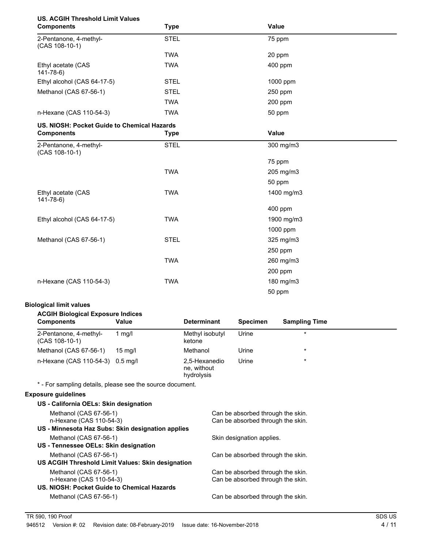| <b>US. ACGIH Threshold Limit Values</b><br><b>Components</b>                                           |            | <b>Type</b> |                                                                        |                                   | <b>Value</b>         |  |
|--------------------------------------------------------------------------------------------------------|------------|-------------|------------------------------------------------------------------------|-----------------------------------|----------------------|--|
| 2-Pentanone, 4-methyl-<br>$(CAS 108-10-1)$                                                             |            | <b>STEL</b> |                                                                        |                                   | 75 ppm               |  |
|                                                                                                        |            | <b>TWA</b>  |                                                                        |                                   | 20 ppm               |  |
| Ethyl acetate (CAS<br>$141 - 78 - 6$                                                                   |            | <b>TWA</b>  |                                                                        |                                   | 400 ppm              |  |
| Ethyl alcohol (CAS 64-17-5)                                                                            |            | <b>STEL</b> |                                                                        |                                   | 1000 ppm             |  |
| Methanol (CAS 67-56-1)                                                                                 |            | <b>STEL</b> |                                                                        |                                   | 250 ppm              |  |
|                                                                                                        |            | <b>TWA</b>  |                                                                        |                                   | 200 ppm              |  |
| n-Hexane (CAS 110-54-3)                                                                                |            | <b>TWA</b>  |                                                                        |                                   | 50 ppm               |  |
| US. NIOSH: Pocket Guide to Chemical Hazards                                                            |            |             |                                                                        |                                   |                      |  |
| <b>Components</b>                                                                                      |            | <b>Type</b> |                                                                        |                                   | Value                |  |
| 2-Pentanone, 4-methyl-<br>(CAS 108-10-1)                                                               |            | <b>STEL</b> |                                                                        |                                   | 300 mg/m3            |  |
|                                                                                                        |            |             |                                                                        |                                   | 75 ppm               |  |
|                                                                                                        |            | <b>TWA</b>  |                                                                        |                                   | 205 mg/m3            |  |
|                                                                                                        |            |             |                                                                        |                                   | 50 ppm               |  |
| Ethyl acetate (CAS<br>$141 - 78 - 6$                                                                   |            | <b>TWA</b>  |                                                                        |                                   | 1400 mg/m3           |  |
|                                                                                                        |            |             |                                                                        |                                   | 400 ppm              |  |
| Ethyl alcohol (CAS 64-17-5)                                                                            |            | <b>TWA</b>  |                                                                        |                                   | 1900 mg/m3           |  |
|                                                                                                        |            |             |                                                                        |                                   | 1000 ppm             |  |
| Methanol (CAS 67-56-1)                                                                                 |            | <b>STEL</b> |                                                                        |                                   | 325 mg/m3            |  |
|                                                                                                        |            |             |                                                                        |                                   | 250 ppm              |  |
|                                                                                                        |            | <b>TWA</b>  |                                                                        |                                   | 260 mg/m3            |  |
|                                                                                                        |            |             |                                                                        |                                   | 200 ppm              |  |
| n-Hexane (CAS 110-54-3)                                                                                |            | <b>TWA</b>  |                                                                        |                                   | 180 mg/m3            |  |
|                                                                                                        |            |             | 50 ppm                                                                 |                                   |                      |  |
| <b>Biological limit values</b>                                                                         |            |             |                                                                        |                                   |                      |  |
| <b>ACGIH Biological Exposure Indices</b>                                                               |            |             |                                                                        |                                   |                      |  |
| <b>Components</b>                                                                                      | Value      |             | <b>Determinant</b>                                                     | <b>Specimen</b>                   | <b>Sampling Time</b> |  |
| 2-Pentanone, 4-methyl-<br>(CAS 108-10-1)                                                               | $1$ mg/l   |             | Methyl isobutyl<br>ketone                                              | Urine                             | $\star$              |  |
| Methanol (CAS 67-56-1)                                                                                 | 15 mg/l    |             | Methanol                                                               | Urine                             |                      |  |
| n-Hexane (CAS 110-54-3)                                                                                | $0.5$ mg/l |             | 2,5-Hexanedio<br>ne, without<br>hydrolysis                             | Urine                             |                      |  |
| * - For sampling details, please see the source document.                                              |            |             |                                                                        |                                   |                      |  |
| <b>Exposure guidelines</b>                                                                             |            |             |                                                                        |                                   |                      |  |
| US - California OELs: Skin designation                                                                 |            |             |                                                                        |                                   |                      |  |
| Methanol (CAS 67-56-1)<br>n-Hexane (CAS 110-54-3)<br>US - Minnesota Haz Subs: Skin designation applies |            |             | Can be absorbed through the skin.<br>Can be absorbed through the skin. |                                   |                      |  |
| Methanol (CAS 67-56-1)                                                                                 |            |             |                                                                        | Skin designation applies.         |                      |  |
| US - Tennessee OELs: Skin designation                                                                  |            |             |                                                                        |                                   |                      |  |
| Methanol (CAS 67-56-1)<br>US ACGIH Threshold Limit Values: Skin designation                            |            |             |                                                                        | Can be absorbed through the skin. |                      |  |

Methanol (CAS 67-56-1) Can be absorbed through the skin.<br>
n-Hexane (CAS 110-54-3) Can be absorbed through the skin. Can be absorbed through the skin.

Methanol (CAS 67-56-1) Can be absorbed through the skin.

**US. NIOSH: Pocket Guide to Chemical Hazards**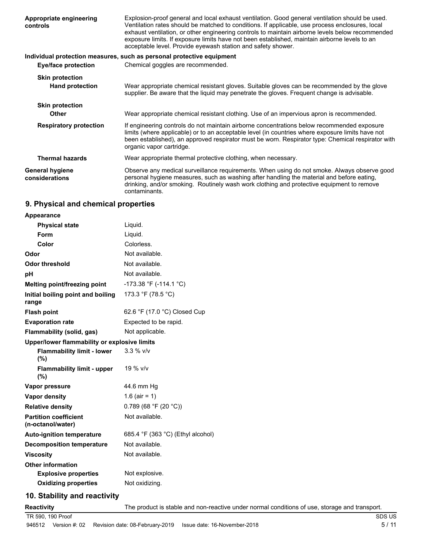| Appropriate engineering<br>controls      | Explosion-proof general and local exhaust ventilation. Good general ventilation should be used.<br>Ventilation rates should be matched to conditions. If applicable, use process enclosures, local<br>exhaust ventilation, or other engineering controls to maintain airborne levels below recommended<br>exposure limits. If exposure limits have not been established, maintain airborne levels to an<br>acceptable level. Provide eyewash station and safety shower. |
|------------------------------------------|-------------------------------------------------------------------------------------------------------------------------------------------------------------------------------------------------------------------------------------------------------------------------------------------------------------------------------------------------------------------------------------------------------------------------------------------------------------------------|
|                                          | Individual protection measures, such as personal protective equipment                                                                                                                                                                                                                                                                                                                                                                                                   |
| <b>Eye/face protection</b>               | Chemical goggles are recommended.                                                                                                                                                                                                                                                                                                                                                                                                                                       |
| <b>Skin protection</b>                   |                                                                                                                                                                                                                                                                                                                                                                                                                                                                         |
| <b>Hand protection</b>                   | Wear appropriate chemical resistant gloves. Suitable gloves can be recommended by the glove<br>supplier. Be aware that the liquid may penetrate the gloves. Frequent change is advisable.                                                                                                                                                                                                                                                                               |
| <b>Skin protection</b>                   |                                                                                                                                                                                                                                                                                                                                                                                                                                                                         |
| <b>Other</b>                             | Wear appropriate chemical resistant clothing. Use of an impervious apron is recommended.                                                                                                                                                                                                                                                                                                                                                                                |
| <b>Respiratory protection</b>            | If engineering controls do not maintain airborne concentrations below recommended exposure<br>limits (where applicable) or to an acceptable level (in countries where exposure limits have not<br>been established), an approved respirator must be worn. Respirator type: Chemical respirator with<br>organic vapor cartridge.                                                                                                                                         |
| <b>Thermal hazards</b>                   | Wear appropriate thermal protective clothing, when necessary.                                                                                                                                                                                                                                                                                                                                                                                                           |
| <b>General hygiene</b><br>considerations | Observe any medical surveillance requirements. When using do not smoke. Always observe good<br>personal hygiene measures, such as washing after handling the material and before eating,<br>drinking, and/or smoking. Routinely wash work clothing and protective equipment to remove<br>contaminants.                                                                                                                                                                  |

## **9. Physical and chemical properties**

| Appearance                                        |                                   |
|---------------------------------------------------|-----------------------------------|
| <b>Physical state</b>                             | Liquid.                           |
| Form                                              | Liquid.                           |
| Color                                             | Colorless.                        |
| Odor                                              | Not available.                    |
| <b>Odor threshold</b>                             | Not available.                    |
| pH                                                | Not available.                    |
| Melting point/freezing point                      | -173.38 °F (-114.1 °C)            |
| Initial boiling point and boiling<br>range        | 173.3 °F (78.5 °C)                |
| <b>Flash point</b>                                | 62.6 °F (17.0 °C) Closed Cup      |
| <b>Evaporation rate</b>                           | Expected to be rapid.             |
| Flammability (solid, gas)                         | Not applicable.                   |
| Upper/lower flammability or explosive limits      |                                   |
| <b>Flammability limit - lower</b><br>(%)          | $3.3 \%$ V/V                      |
| <b>Flammability limit - upper</b><br>(%)          | 19 % v/v                          |
| Vapor pressure                                    | 44.6 mm Hg                        |
| Vapor density                                     | 1.6 (air = 1)                     |
| <b>Relative density</b>                           | 0.789 (68 °F (20 °C))             |
| <b>Partition coefficient</b><br>(n-octanol/water) | Not available.                    |
| <b>Auto-ignition temperature</b>                  | 685.4 °F (363 °C) (Ethyl alcohol) |
| <b>Decomposition temperature</b>                  | Not available.                    |
| <b>Viscosity</b>                                  | Not available.                    |
| <b>Other information</b>                          |                                   |
| <b>Explosive properties</b>                       | Not explosive.                    |
| <b>Oxidizing properties</b>                       | Not oxidizing.                    |

## **10. Stability and reactivity**

**Reactivity** The product is stable and non-reactive under normal conditions of use, storage and transport.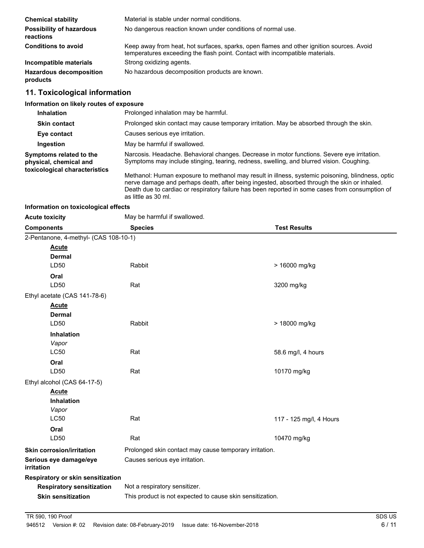| <b>Chemical stability</b>                    | Material is stable under normal conditions.                                                                                                                              |
|----------------------------------------------|--------------------------------------------------------------------------------------------------------------------------------------------------------------------------|
| <b>Possibility of hazardous</b><br>reactions | No dangerous reaction known under conditions of normal use.                                                                                                              |
| <b>Conditions to avoid</b>                   | Keep away from heat, hot surfaces, sparks, open flames and other ignition sources. Avoid<br>temperatures exceeding the flash point. Contact with incompatible materials. |
| Incompatible materials                       | Strong oxidizing agents.                                                                                                                                                 |
| <b>Hazardous decomposition</b><br>products   | No hazardous decomposition products are known.                                                                                                                           |

# **11. Toxicological information**

## **Information on likely routes of exposure**

| <b>Inhalation</b>                                 | Prolonged inhalation may be harmful.                                                                                                                                                                                                                                                               |
|---------------------------------------------------|----------------------------------------------------------------------------------------------------------------------------------------------------------------------------------------------------------------------------------------------------------------------------------------------------|
| <b>Skin contact</b>                               | Prolonged skin contact may cause temporary irritation. May be absorbed through the skin.                                                                                                                                                                                                           |
| Eye contact                                       | Causes serious eye irritation.                                                                                                                                                                                                                                                                     |
| Ingestion                                         | May be harmful if swallowed.                                                                                                                                                                                                                                                                       |
| Symptoms related to the<br>physical, chemical and | Narcosis. Headache. Behavioral changes. Decrease in motor functions. Severe eye irritation.<br>Symptoms may include stinging, tearing, redness, swelling, and blurred vision. Coughing.                                                                                                            |
| toxicological characteristics                     | Methanol: Human exposure to methanol may result in illness, systemic poisoning, blindness, optic<br>nerve damage and perhaps death, after being ingested, absorbed through the skin or inhaled.<br>Death due to cardiac or respiratory failure has been reported in some cases from consumption of |

as little as 30 ml.

#### **Information on toxicological effects**

| <b>Acute toxicity</b>                 | May be harmful if swallowed.                              |                         |  |
|---------------------------------------|-----------------------------------------------------------|-------------------------|--|
| <b>Components</b>                     | <b>Species</b>                                            | <b>Test Results</b>     |  |
| 2-Pentanone, 4-methyl- (CAS 108-10-1) |                                                           |                         |  |
| <b>Acute</b>                          |                                                           |                         |  |
| <b>Dermal</b>                         |                                                           |                         |  |
| LD50                                  | Rabbit                                                    | > 16000 mg/kg           |  |
| Oral                                  |                                                           |                         |  |
| LD50                                  | Rat                                                       | 3200 mg/kg              |  |
| Ethyl acetate (CAS 141-78-6)          |                                                           |                         |  |
| <b>Acute</b>                          |                                                           |                         |  |
| <b>Dermal</b>                         |                                                           |                         |  |
| LD50                                  | Rabbit                                                    | > 18000 mg/kg           |  |
| <b>Inhalation</b>                     |                                                           |                         |  |
| Vapor                                 |                                                           |                         |  |
| <b>LC50</b>                           | Rat                                                       | 58.6 mg/l, 4 hours      |  |
| Oral                                  |                                                           |                         |  |
| LD50                                  | Rat                                                       | 10170 mg/kg             |  |
| Ethyl alcohol (CAS 64-17-5)           |                                                           |                         |  |
| <b>Acute</b>                          |                                                           |                         |  |
| Inhalation                            |                                                           |                         |  |
| Vapor                                 |                                                           |                         |  |
| <b>LC50</b>                           | Rat                                                       | 117 - 125 mg/l, 4 Hours |  |
| Oral                                  |                                                           |                         |  |
| LD50                                  | Rat                                                       | 10470 mg/kg             |  |
| <b>Skin corrosion/irritation</b>      | Prolonged skin contact may cause temporary irritation.    |                         |  |
| Serious eye damage/eye<br>irritation  | Causes serious eye irritation.                            |                         |  |
| Respiratory or skin sensitization     |                                                           |                         |  |
| <b>Respiratory sensitization</b>      | Not a respiratory sensitizer.                             |                         |  |
| <b>Skin sensitization</b>             | This product is not expected to cause skin sensitization. |                         |  |
|                                       |                                                           |                         |  |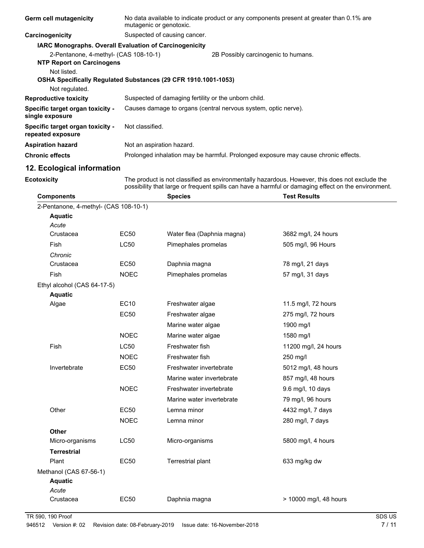| <b>Germ cell mutagenicity</b>                                             | mutagenic or genotoxic.                                        | No data available to indicate product or any components present at greater than 0.1% are |
|---------------------------------------------------------------------------|----------------------------------------------------------------|------------------------------------------------------------------------------------------|
| Carcinogenicity                                                           | Suspected of causing cancer.                                   |                                                                                          |
|                                                                           | <b>IARC Monographs. Overall Evaluation of Carcinogenicity</b>  |                                                                                          |
| 2-Pentanone, 4-methyl- (CAS 108-10-1)<br><b>NTP Report on Carcinogens</b> |                                                                | 2B Possibly carcinogenic to humans.                                                      |
| Not listed.                                                               |                                                                |                                                                                          |
|                                                                           | OSHA Specifically Regulated Substances (29 CFR 1910.1001-1053) |                                                                                          |
| Not regulated.                                                            |                                                                |                                                                                          |
| <b>Reproductive toxicity</b>                                              | Suspected of damaging fertility or the unborn child.           |                                                                                          |
| Specific target organ toxicity -<br>single exposure                       |                                                                | Causes damage to organs (central nervous system, optic nerve).                           |
| Specific target organ toxicity -<br>repeated exposure                     | Not classified.                                                |                                                                                          |
| <b>Aspiration hazard</b>                                                  | Not an aspiration hazard.                                      |                                                                                          |
| <b>Chronic effects</b>                                                    |                                                                | Prolonged inhalation may be harmful. Prolonged exposure may cause chronic effects.       |
| 12. Ecological information                                                |                                                                |                                                                                          |

**Ecotoxicity**

The product is not classified as environmentally hazardous. However, this does not exclude the possibility that large or frequent spills can have a harmful or damaging effect on the environment.

| <b>Components</b>                     |             | <b>Species</b>             | <b>Test Results</b>    |
|---------------------------------------|-------------|----------------------------|------------------------|
| 2-Pentanone, 4-methyl- (CAS 108-10-1) |             |                            |                        |
| <b>Aquatic</b>                        |             |                            |                        |
| Acute                                 |             |                            |                        |
| Crustacea                             | <b>EC50</b> | Water flea (Daphnia magna) | 3682 mg/l, 24 hours    |
| Fish                                  | <b>LC50</b> | Pimephales promelas        | 505 mg/l, 96 Hours     |
| Chronic                               |             |                            |                        |
| Crustacea                             | <b>EC50</b> | Daphnia magna              | 78 mg/l, 21 days       |
| Fish                                  | <b>NOEC</b> | Pimephales promelas        | 57 mg/l, 31 days       |
| Ethyl alcohol (CAS 64-17-5)           |             |                            |                        |
| <b>Aquatic</b>                        |             |                            |                        |
| Algae                                 | <b>EC10</b> | Freshwater algae           | 11.5 mg/l, 72 hours    |
|                                       | <b>EC50</b> | Freshwater algae           | 275 mg/l, 72 hours     |
|                                       |             | Marine water algae         | 1900 mg/l              |
|                                       | <b>NOEC</b> | Marine water algae         | 1580 mg/l              |
| Fish                                  | <b>LC50</b> | Freshwater fish            | 11200 mg/l, 24 hours   |
|                                       | <b>NOEC</b> | Freshwater fish            | 250 mg/l               |
| Invertebrate                          | <b>EC50</b> | Freshwater invertebrate    | 5012 mg/l, 48 hours    |
|                                       |             | Marine water invertebrate  | 857 mg/l, 48 hours     |
|                                       | <b>NOEC</b> | Freshwater invertebrate    | 9.6 mg/l, 10 days      |
|                                       |             | Marine water invertebrate  | 79 mg/l, 96 hours      |
| Other                                 | <b>EC50</b> | Lemna minor                | 4432 mg/l, 7 days      |
|                                       | <b>NOEC</b> | Lemna minor                | 280 mg/l, 7 days       |
| Other                                 |             |                            |                        |
| Micro-organisms                       | <b>LC50</b> | Micro-organisms            | 5800 mg/l, 4 hours     |
| <b>Terrestrial</b>                    |             |                            |                        |
| Plant                                 | <b>EC50</b> | <b>Terrestrial plant</b>   | 633 mg/kg dw           |
| Methanol (CAS 67-56-1)                |             |                            |                        |
| <b>Aquatic</b>                        |             |                            |                        |
| Acute                                 |             |                            |                        |
| Crustacea                             | <b>EC50</b> | Daphnia magna              | > 10000 mg/l, 48 hours |
|                                       |             |                            |                        |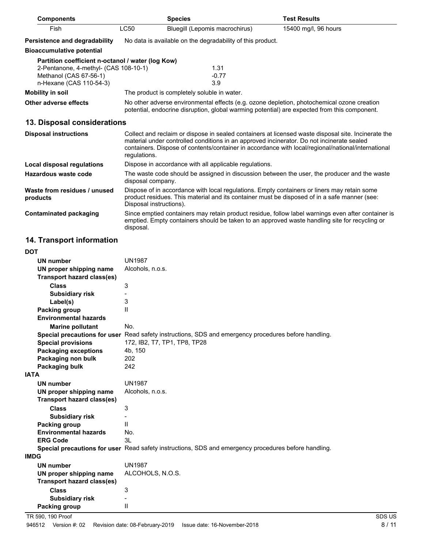| <b>Components</b>                                                                                                                               |                                                                                                                                                                                                                                                                                                                        | <b>Species</b>                                             | <b>Test Results</b>                                                                                                                                                                                 |
|-------------------------------------------------------------------------------------------------------------------------------------------------|------------------------------------------------------------------------------------------------------------------------------------------------------------------------------------------------------------------------------------------------------------------------------------------------------------------------|------------------------------------------------------------|-----------------------------------------------------------------------------------------------------------------------------------------------------------------------------------------------------|
| Fish                                                                                                                                            | <b>LC50</b>                                                                                                                                                                                                                                                                                                            | Bluegill (Lepomis macrochirus)                             | 15400 mg/l, 96 hours                                                                                                                                                                                |
| Persistence and degradability                                                                                                                   |                                                                                                                                                                                                                                                                                                                        | No data is available on the degradability of this product. |                                                                                                                                                                                                     |
| <b>Bioaccumulative potential</b>                                                                                                                |                                                                                                                                                                                                                                                                                                                        |                                                            |                                                                                                                                                                                                     |
| Partition coefficient n-octanol / water (log Kow)<br>2-Pentanone, 4-methyl- (CAS 108-10-1)<br>Methanol (CAS 67-56-1)<br>n-Hexane (CAS 110-54-3) |                                                                                                                                                                                                                                                                                                                        | 1.31<br>$-0.77$<br>3.9                                     |                                                                                                                                                                                                     |
| <b>Mobility in soil</b>                                                                                                                         |                                                                                                                                                                                                                                                                                                                        | The product is completely soluble in water.                |                                                                                                                                                                                                     |
| Other adverse effects                                                                                                                           |                                                                                                                                                                                                                                                                                                                        |                                                            | No other adverse environmental effects (e.g. ozone depletion, photochemical ozone creation<br>potential, endocrine disruption, global warming potential) are expected from this component.          |
| 13. Disposal considerations                                                                                                                     |                                                                                                                                                                                                                                                                                                                        |                                                            |                                                                                                                                                                                                     |
| <b>Disposal instructions</b>                                                                                                                    | Collect and reclaim or dispose in sealed containers at licensed waste disposal site. Incinerate the<br>material under controlled conditions in an approved incinerator. Do not incinerate sealed<br>containers. Dispose of contents/container in accordance with local/regional/national/international<br>requlations. |                                                            |                                                                                                                                                                                                     |
| <b>Local disposal regulations</b>                                                                                                               |                                                                                                                                                                                                                                                                                                                        | Dispose in accordance with all applicable regulations.     |                                                                                                                                                                                                     |
| Hazardous waste code                                                                                                                            | disposal company.                                                                                                                                                                                                                                                                                                      |                                                            | The waste code should be assigned in discussion between the user, the producer and the waste                                                                                                        |
| Waste from residues / unused<br>products                                                                                                        | Dispose of in accordance with local regulations. Empty containers or liners may retain some<br>product residues. This material and its container must be disposed of in a safe manner (see:<br>Disposal instructions).                                                                                                 |                                                            |                                                                                                                                                                                                     |
| <b>Contaminated packaging</b>                                                                                                                   | disposal.                                                                                                                                                                                                                                                                                                              |                                                            | Since emptied containers may retain product residue, follow label warnings even after container is<br>emptied. Empty containers should be taken to an approved waste handling site for recycling or |

# **14. Transport information**

| <b>DOT</b>                        |                                                                                                      |
|-----------------------------------|------------------------------------------------------------------------------------------------------|
| <b>UN number</b>                  | <b>UN1987</b>                                                                                        |
| UN proper shipping name           | Alcohols, n.o.s.                                                                                     |
| <b>Transport hazard class(es)</b> |                                                                                                      |
| <b>Class</b>                      | 3                                                                                                    |
| <b>Subsidiary risk</b>            |                                                                                                      |
| Label(s)                          | 3                                                                                                    |
| <b>Packing group</b>              | $\mathbf{I}$                                                                                         |
| <b>Environmental hazards</b>      |                                                                                                      |
| <b>Marine pollutant</b>           | No.                                                                                                  |
|                                   | Special precautions for user Read safety instructions, SDS and emergency procedures before handling. |
| <b>Special provisions</b>         | 172, IB2, T7, TP1, TP8, TP28                                                                         |
| <b>Packaging exceptions</b>       | 4b, 150                                                                                              |
| Packaging non bulk                | 202                                                                                                  |
| Packaging bulk                    | 242                                                                                                  |
| <b>IATA</b>                       |                                                                                                      |
| <b>UN number</b>                  | <b>UN1987</b>                                                                                        |
| UN proper shipping name           | Alcohols, n.o.s.                                                                                     |
| <b>Transport hazard class(es)</b> |                                                                                                      |
| <b>Class</b>                      | 3                                                                                                    |
| <b>Subsidiary risk</b>            |                                                                                                      |
| <b>Packing group</b>              | $\mathbf{H}$                                                                                         |
| <b>Environmental hazards</b>      | No.                                                                                                  |
| <b>ERG Code</b>                   | 3L                                                                                                   |
|                                   | Special precautions for user Read safety instructions, SDS and emergency procedures before handling. |
| <b>IMDG</b>                       |                                                                                                      |
| <b>UN number</b>                  | <b>UN1987</b>                                                                                        |
| UN proper shipping name           | ALCOHOLS, N.O.S.                                                                                     |
| <b>Transport hazard class(es)</b> |                                                                                                      |
| <b>Class</b>                      | 3                                                                                                    |
| <b>Subsidiary risk</b>            | $\overline{a}$                                                                                       |
| Packing group                     | $\mathsf{II}$                                                                                        |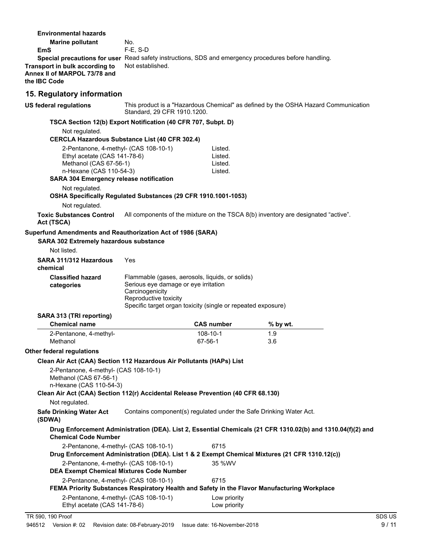| <b>Marine pollutant</b>                                                                                                                                                                |                                                                                  |                                                                    |                                                                                                             |  |
|----------------------------------------------------------------------------------------------------------------------------------------------------------------------------------------|----------------------------------------------------------------------------------|--------------------------------------------------------------------|-------------------------------------------------------------------------------------------------------------|--|
|                                                                                                                                                                                        | No.                                                                              |                                                                    |                                                                                                             |  |
| EmS                                                                                                                                                                                    | $F-E. S-D$                                                                       |                                                                    |                                                                                                             |  |
| Special precautions for user Read safety instructions, SDS and emergency procedures before handling.<br>Transport in bulk according to<br>Annex II of MARPOL 73/78 and<br>the IBC Code | Not established.                                                                 |                                                                    |                                                                                                             |  |
| 15. Regulatory information                                                                                                                                                             |                                                                                  |                                                                    |                                                                                                             |  |
| <b>US federal regulations</b>                                                                                                                                                          | Standard, 29 CFR 1910.1200.                                                      |                                                                    | This product is a "Hazardous Chemical" as defined by the OSHA Hazard Communication                          |  |
| TSCA Section 12(b) Export Notification (40 CFR 707, Subpt. D)                                                                                                                          |                                                                                  |                                                                    |                                                                                                             |  |
| Not regulated.<br><b>CERCLA Hazardous Substance List (40 CFR 302.4)</b>                                                                                                                |                                                                                  |                                                                    |                                                                                                             |  |
| 2-Pentanone, 4-methyl- (CAS 108-10-1)                                                                                                                                                  |                                                                                  | Listed.                                                            |                                                                                                             |  |
| Ethyl acetate (CAS 141-78-6)                                                                                                                                                           |                                                                                  | Listed.                                                            |                                                                                                             |  |
| Methanol (CAS 67-56-1)                                                                                                                                                                 |                                                                                  | Listed.                                                            |                                                                                                             |  |
| n-Hexane (CAS 110-54-3)                                                                                                                                                                |                                                                                  | Listed.                                                            |                                                                                                             |  |
| <b>SARA 304 Emergency release notification</b>                                                                                                                                         |                                                                                  |                                                                    |                                                                                                             |  |
| Not regulated.<br>OSHA Specifically Regulated Substances (29 CFR 1910.1001-1053)                                                                                                       |                                                                                  |                                                                    |                                                                                                             |  |
| Not regulated.                                                                                                                                                                         |                                                                                  |                                                                    |                                                                                                             |  |
| <b>Toxic Substances Control</b><br>Act (TSCA)                                                                                                                                          |                                                                                  |                                                                    | All components of the mixture on the TSCA 8(b) inventory are designated "active".                           |  |
| Superfund Amendments and Reauthorization Act of 1986 (SARA)                                                                                                                            |                                                                                  |                                                                    |                                                                                                             |  |
| SARA 302 Extremely hazardous substance                                                                                                                                                 |                                                                                  |                                                                    |                                                                                                             |  |
| Not listed.                                                                                                                                                                            |                                                                                  |                                                                    |                                                                                                             |  |
|                                                                                                                                                                                        |                                                                                  |                                                                    |                                                                                                             |  |
| SARA 311/312 Hazardous<br>chemical                                                                                                                                                     | Yes                                                                              |                                                                    |                                                                                                             |  |
| <b>Classified hazard</b><br>categories                                                                                                                                                 | Serious eye damage or eye irritation<br>Carcinogenicity<br>Reproductive toxicity | Flammable (gases, aerosols, liquids, or solids)                    |                                                                                                             |  |
|                                                                                                                                                                                        |                                                                                  | Specific target organ toxicity (single or repeated exposure)       |                                                                                                             |  |
| SARA 313 (TRI reporting)                                                                                                                                                               |                                                                                  |                                                                    |                                                                                                             |  |
| <b>Chemical name</b>                                                                                                                                                                   |                                                                                  | <b>CAS number</b>                                                  | % by wt.                                                                                                    |  |
| 2-Pentanone, 4-methyl-                                                                                                                                                                 |                                                                                  | 108-10-1                                                           | 1.9                                                                                                         |  |
| Methanol                                                                                                                                                                               |                                                                                  | 67-56-1                                                            | 3.6                                                                                                         |  |
| Other federal regulations                                                                                                                                                              |                                                                                  |                                                                    |                                                                                                             |  |
| Clean Air Act (CAA) Section 112 Hazardous Air Pollutants (HAPs) List                                                                                                                   |                                                                                  |                                                                    |                                                                                                             |  |
| 2-Pentanone, 4-methyl- (CAS 108-10-1)<br>Methanol (CAS 67-56-1)<br>n-Hexane (CAS 110-54-3)                                                                                             |                                                                                  |                                                                    |                                                                                                             |  |
| Clean Air Act (CAA) Section 112(r) Accidental Release Prevention (40 CFR 68.130)                                                                                                       |                                                                                  |                                                                    |                                                                                                             |  |
| Not regulated.                                                                                                                                                                         |                                                                                  |                                                                    |                                                                                                             |  |
| <b>Safe Drinking Water Act</b><br>(SDWA)                                                                                                                                               |                                                                                  | Contains component(s) regulated under the Safe Drinking Water Act. |                                                                                                             |  |
| <b>Chemical Code Number</b>                                                                                                                                                            |                                                                                  |                                                                    | Drug Enforcement Administration (DEA). List 2, Essential Chemicals (21 CFR 1310.02(b) and 1310.04(f)(2) and |  |
| 2-Pentanone, 4-methyl- (CAS 108-10-1)                                                                                                                                                  |                                                                                  | 6715                                                               |                                                                                                             |  |
|                                                                                                                                                                                        |                                                                                  |                                                                    | Drug Enforcement Administration (DEA). List 1 & 2 Exempt Chemical Mixtures (21 CFR 1310.12(c))              |  |
| 2-Pentanone, 4-methyl- (CAS 108-10-1)<br><b>DEA Exempt Chemical Mixtures Code Number</b>                                                                                               |                                                                                  | 35 %WV                                                             |                                                                                                             |  |
| 2-Pentanone, 4-methyl- (CAS 108-10-1)                                                                                                                                                  |                                                                                  | 6715                                                               |                                                                                                             |  |
| 2-Pentanone, 4-methyl- (CAS 108-10-1)                                                                                                                                                  |                                                                                  | Low priority                                                       | FEMA Priority Substances Respiratory Health and Safety in the Flavor Manufacturing Workplace                |  |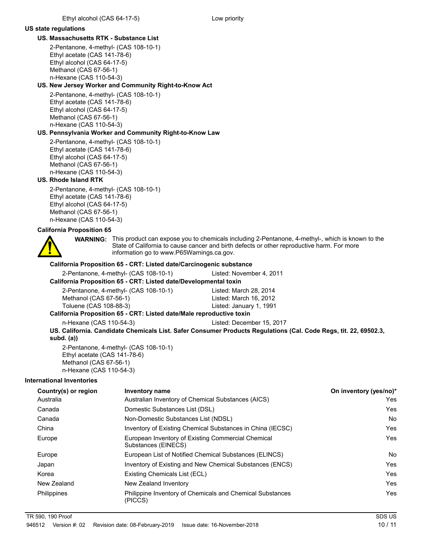#### **US state regulations**

## **US. Massachusetts RTK - Substance List**

2-Pentanone, 4-methyl- (CAS 108-10-1) Ethyl acetate (CAS 141-78-6) Ethyl alcohol (CAS 64-17-5) Methanol (CAS 67-56-1) n-Hexane (CAS 110-54-3)

### **US. New Jersey Worker and Community Right-to-Know Act**

2-Pentanone, 4-methyl- (CAS 108-10-1) Ethyl acetate (CAS 141-78-6) Ethyl alcohol (CAS 64-17-5) Methanol (CAS 67-56-1) n-Hexane (CAS 110-54-3)

## **US. Pennsylvania Worker and Community Right-to-Know Law**

2-Pentanone, 4-methyl- (CAS 108-10-1) Ethyl acetate (CAS 141-78-6) Ethyl alcohol (CAS 64-17-5) Methanol (CAS 67-56-1) n-Hexane (CAS 110-54-3)

#### **US. Rhode Island RTK**

2-Pentanone, 4-methyl- (CAS 108-10-1) Ethyl acetate (CAS 141-78-6) Ethyl alcohol (CAS 64-17-5) Methanol (CAS 67-56-1) n-Hexane (CAS 110-54-3)

## **California Proposition 65**



WARNING: This product can expose you to chemicals including 2-Pentanone, 4-methyl-, which is known to the State of California to cause cancer and birth defects or other reproductive harm. For more information go to www.P65Warnings.ca.gov.

#### **California Proposition 65 - CRT: Listed date/Carcinogenic substance**

2-Pentanone, 4-methyl- (CAS 108-10-1) Listed: November 4, 2011

#### **California Proposition 65 - CRT: Listed date/Developmental toxin**

| 2-Pentanone, 4-methyl- (CAS 108-10-1)                               | Listed: March 28, 2014  |
|---------------------------------------------------------------------|-------------------------|
| Methanol (CAS 67-56-1)                                              | Listed: March 16, 2012  |
| Toluene (CAS 108-88-3)                                              | Listed: January 1, 1991 |
| lifornia Proposition 65 - CPT: Listod dato/Malo reproductive toxini |                         |

**California Proposition 65 - CRT: Listed date/Male reproductive toxin**

n-Hexane (CAS 110-54-3) Listed: December 15, 2017

**US. California. Candidate Chemicals List. Safer Consumer Products Regulations (Cal. Code Regs, tit. 22, 69502.3, subd. (a))**

2-Pentanone, 4-methyl- (CAS 108-10-1) Ethyl acetate (CAS 141-78-6) Methanol (CAS 67-56-1) n-Hexane (CAS 110-54-3)

#### **International Inventories**

| Country(s) or region | <b>Inventory name</b>                                                     | On inventory (yes/no)* |
|----------------------|---------------------------------------------------------------------------|------------------------|
| Australia            | Australian Inventory of Chemical Substances (AICS)                        | Yes                    |
| Canada               | Domestic Substances List (DSL)                                            | Yes                    |
| Canada               | Non-Domestic Substances List (NDSL)                                       | N <sub>o</sub>         |
| China                | Inventory of Existing Chemical Substances in China (IECSC)                | Yes                    |
| Europe               | European Inventory of Existing Commercial Chemical<br>Substances (EINECS) | Yes                    |
| Europe               | European List of Notified Chemical Substances (ELINCS)                    | N <sub>o</sub>         |
| Japan                | Inventory of Existing and New Chemical Substances (ENCS)                  | Yes                    |
| Korea                | Existing Chemicals List (ECL)                                             | Yes                    |
| New Zealand          | New Zealand Inventory                                                     | Yes                    |
| Philippines          | Philippine Inventory of Chemicals and Chemical Substances<br>(PICCS)      | Yes                    |